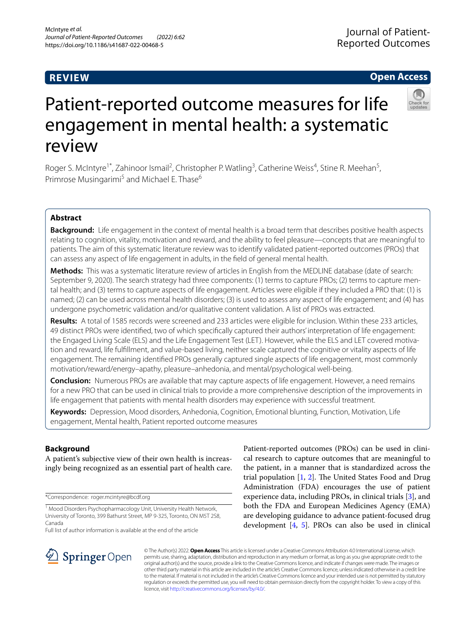# **REVIEW**

# **Open Access**



# Patient-reported outcome measures for life engagement in mental health: a systematic review

Roger S. McIntyre<sup>1\*</sup>, Zahinoor Ismail<sup>2</sup>, Christopher P. Watling<sup>3</sup>, Catherine Weiss<sup>4</sup>, Stine R. Meehan<sup>5</sup>, Primrose Musingarimi<sup>5</sup> and Michael E. Thase<sup>6</sup>

# **Abstract**

**Background:** Life engagement in the context of mental health is a broad term that describes positive health aspects relating to cognition, vitality, motivation and reward, and the ability to feel pleasure—concepts that are meaningful to patients. The aim of this systematic literature review was to identify validated patient-reported outcomes (PROs) that can assess any aspect of life engagement in adults, in the feld of general mental health.

**Methods:** This was a systematic literature review of articles in English from the MEDLINE database (date of search: September 9, 2020). The search strategy had three components: (1) terms to capture PROs; (2) terms to capture mental health; and (3) terms to capture aspects of life engagement. Articles were eligible if they included a PRO that: (1) is named; (2) can be used across mental health disorders; (3) is used to assess any aspect of life engagement; and (4) has undergone psychometric validation and/or qualitative content validation. A list of PROs was extracted.

**Results:** A total of 1585 records were screened and 233 articles were eligible for inclusion. Within these 233 articles, 49 distinct PROs were identifed, two of which specifcally captured their authors' interpretation of life engagement: the Engaged Living Scale (ELS) and the Life Engagement Test (LET). However, while the ELS and LET covered motivation and reward, life fulfllment, and value-based living, neither scale captured the cognitive or vitality aspects of life engagement. The remaining identifed PROs generally captured single aspects of life engagement, most commonly motivation/reward/energy–apathy, pleasure–anhedonia, and mental/psychological well-being.

**Conclusion:** Numerous PROs are available that may capture aspects of life engagement. However, a need remains for a new PRO that can be used in clinical trials to provide a more comprehensive description of the improvements in life engagement that patients with mental health disorders may experience with successful treatment.

**Keywords:** Depression, Mood disorders, Anhedonia, Cognition, Emotional blunting, Function, Motivation, Life engagement, Mental health, Patient reported outcome measures

# **Background**

A patient's subjective view of their own health is increasingly being recognized as an essential part of health care.

\*Correspondence: roger.mcintyre@bcdf.org

Full list of author information is available at the end of the article

Patient-reported outcomes (PROs) can be used in clinical research to capture outcomes that are meaningful to the patient, in a manner that is standardized across the trial population  $[1, 2]$  $[1, 2]$  $[1, 2]$  $[1, 2]$ . The United States Food and Drug Administration (FDA) encourages the use of patient experience data, including PROs, in clinical trials [[3\]](#page-8-2), and both the FDA and European Medicines Agency (EMA) are developing guidance to advance patient-focused drug development [[4](#page-8-3), [5](#page-8-4)]. PROs can also be used in clinical



© The Author(s) 2022. **Open Access** This article is licensed under a Creative Commons Attribution 4.0 International License, which permits use, sharing, adaptation, distribution and reproduction in any medium or format, as long as you give appropriate credit to the original author(s) and the source, provide a link to the Creative Commons licence, and indicate if changes were made. The images or other third party material in this article are included in the article's Creative Commons licence, unless indicated otherwise in a credit line to the material. If material is not included in the article's Creative Commons licence and your intended use is not permitted by statutory regulation or exceeds the permitted use, you will need to obtain permission directly from the copyright holder. To view a copy of this licence, visit [http://creativecommons.org/licenses/by/4.0/.](http://creativecommons.org/licenses/by/4.0/)

<sup>&</sup>lt;sup>1</sup> Mood Disorders Psychopharmacology Unit, University Health Network, University of Toronto, 399 Bathurst Street, MP 9-325, Toronto, ON M5T 2S8, Canada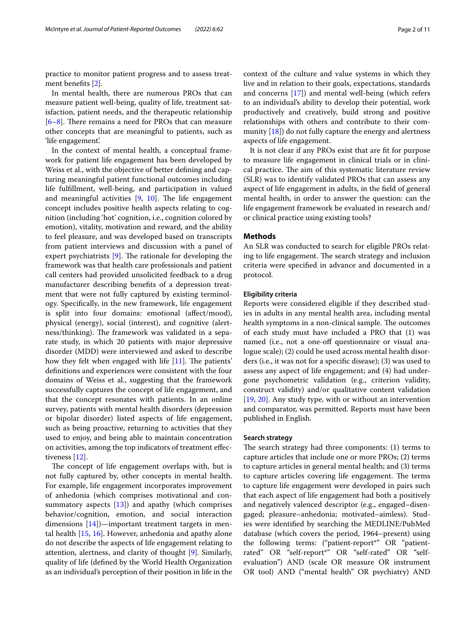practice to monitor patient progress and to assess treatment benefts [\[2\]](#page-8-1).

In mental health, there are numerous PROs that can measure patient well-being, quality of life, treatment satisfaction, patient needs, and the therapeutic relationship  $[6-8]$  $[6-8]$ . There remains a need for PROs that can measure other concepts that are meaningful to patients, such as 'life engagement'.

In the context of mental health, a conceptual framework for patient life engagement has been developed by Weiss et al., with the objective of better defning and capturing meaningful patient functional outcomes including life fulfllment, well-being, and participation in valued and meaningful activities  $[9, 10]$  $[9, 10]$  $[9, 10]$  $[9, 10]$ . The life engagement concept includes positive health aspects relating to cognition (including 'hot' cognition, i.e., cognition colored by emotion), vitality, motivation and reward, and the ability to feel pleasure, and was developed based on transcripts from patient interviews and discussion with a panel of expert psychiatrists  $[9]$  $[9]$  $[9]$ . The rationale for developing the framework was that health care professionals and patient call centers had provided unsolicited feedback to a drug manufacturer describing benefts of a depression treatment that were not fully captured by existing terminology. Specifcally, in the new framework, life engagement is split into four domains: emotional (afect/mood), physical (energy), social (interest), and cognitive (alertness/thinking). The framework was validated in a separate study, in which 20 patients with major depressive disorder (MDD) were interviewed and asked to describe how they felt when engaged with life  $[11]$  $[11]$  $[11]$ . The patients' defnitions and experiences were consistent with the four domains of Weiss et al., suggesting that the framework successfully captures the concept of life engagement, and that the concept resonates with patients. In an online survey, patients with mental health disorders (depression or bipolar disorder) listed aspects of life engagement, such as being proactive, returning to activities that they used to enjoy, and being able to maintain concentration on activities, among the top indicators of treatment efectiveness [[12](#page-8-10)].

The concept of life engagement overlaps with, but is not fully captured by, other concepts in mental health. For example, life engagement incorporates improvement of anhedonia (which comprises motivational and consummatory aspects  $[13]$  $[13]$ ) and apathy (which comprises behavior/cognition, emotion, and social interaction dimensions  $[14]$  $[14]$  $[14]$ )—important treatment targets in mental health [\[15](#page-8-13), [16\]](#page-8-14). However, anhedonia and apathy alone do not describe the aspects of life engagement relating to attention, alertness, and clarity of thought [[9\]](#page-8-7). Similarly, quality of life (defned by the World Health Organization as an individual's perception of their position in life in the context of the culture and value systems in which they live and in relation to their goals, expectations, standards and concerns [\[17](#page-8-15)]) and mental well-being (which refers to an individual's ability to develop their potential, work productively and creatively, build strong and positive relationships with others and contribute to their community  $[18]$  $[18]$ ) do not fully capture the energy and alertness aspects of life engagement.

It is not clear if any PROs exist that are ft for purpose to measure life engagement in clinical trials or in clinical practice. The aim of this systematic literature review (SLR) was to identify validated PROs that can assess any aspect of life engagement in adults, in the feld of general mental health, in order to answer the question: can the life engagement framework be evaluated in research and/ or clinical practice using existing tools?

#### **Methods**

An SLR was conducted to search for eligible PROs relating to life engagement. The search strategy and inclusion criteria were specifed in advance and documented in a protocol.

## **Eligibility criteria**

Reports were considered eligible if they described studies in adults in any mental health area, including mental health symptoms in a non-clinical sample. The outcomes of each study must have included a PRO that (1) was named (i.e., not a one-off questionnaire or visual analogue scale); (2) could be used across mental health disorders (i.e., it was not for a specifc disease); (3) was used to assess any aspect of life engagement; and (4) had undergone psychometric validation (e.g., criterion validity, construct validity) and/or qualitative content validation [[19,](#page-8-17) [20\]](#page-8-18). Any study type, with or without an intervention and comparator, was permitted. Reports must have been published in English.

#### **Search strategy**

The search strategy had three components:  $(1)$  terms to capture articles that include one or more PROs; (2) terms to capture articles in general mental health; and (3) terms to capture articles covering life engagement. The terms to capture life engagement were developed in pairs such that each aspect of life engagement had both a positively and negatively valenced descriptor (e.g., engaged–disengaged; pleasure–anhedonia; motivated–aimless). Studies were identifed by searching the MEDLINE/PubMed database (which covers the period, 1964–present) using the following terms: ("patient-report\*" OR "patientrated" OR "self-report\*" OR "self-rated" OR "selfevaluation") AND (scale OR measure OR instrument OR tool) AND ("mental health" OR psychiatry) AND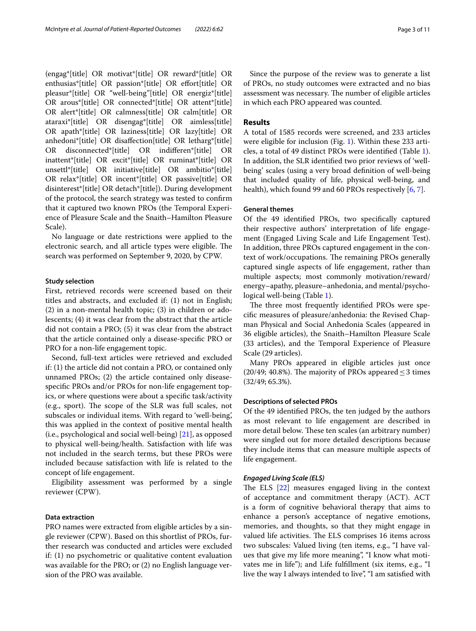(engag\*[title] OR motivat\*[title] OR reward\*[title] OR enthusias\*[title] OR passion\*[title] OR efort[title] OR pleasur\*[title] OR "well-being"[title] OR energiz\*[title] OR arous\*[title] OR connected\*[title] OR attent\*[title] OR alert\*[title] OR calmness[title] OR calm[title] OR ataraxi\*[title] OR disengag\*[title] OR aimless[title] OR apath\*[title] OR laziness[title] OR lazy[title] OR anhedoni\*[title] OR disafection[title] OR letharg\*[title] OR disconnected\*[title] OR indiferen\*[title] OR inattent\*[title] OR excit\*[title] OR ruminat\*[title] OR unsettl\*[title] OR initiative[title] OR ambitio\*[title] OR relax\*[title] OR incent\*[title] OR passive[title] OR disinterest\*[title] OR detach\*[title]). During development of the protocol, the search strategy was tested to confrm that it captured two known PROs (the Temporal Experience of Pleasure Scale and the Snaith–Hamilton Pleasure Scale).

No language or date restrictions were applied to the electronic search, and all article types were eligible. The search was performed on September 9, 2020, by CPW.

#### **Study selection**

First, retrieved records were screened based on their titles and abstracts, and excluded if: (1) not in English; (2) in a non-mental health topic; (3) in children or adolescents; (4) it was clear from the abstract that the article did not contain a PRO; (5) it was clear from the abstract that the article contained only a disease-specifc PRO or PRO for a non-life engagement topic.

Second, full-text articles were retrieved and excluded if: (1) the article did not contain a PRO, or contained only unnamed PROs; (2) the article contained only diseasespecifc PROs and/or PROs for non-life engagement topics, or where questions were about a specifc task/activity (e.g., sport). The scope of the SLR was full scales, not subscales or individual items. With regard to 'well-being', this was applied in the context of positive mental health (i.e., psychological and social well-being) [[21\]](#page-9-0), as opposed to physical well-being/health. Satisfaction with life was not included in the search terms, but these PROs were included because satisfaction with life is related to the concept of life engagement.

Eligibility assessment was performed by a single reviewer (CPW).

## **Data extraction**

PRO names were extracted from eligible articles by a single reviewer (CPW). Based on this shortlist of PROs, further research was conducted and articles were excluded if: (1) no psychometric or qualitative content evaluation was available for the PRO; or (2) no English language version of the PRO was available.

Since the purpose of the review was to generate a list of PROs, no study outcomes were extracted and no bias assessment was necessary. The number of eligible articles in which each PRO appeared was counted.

## **Results**

A total of 1585 records were screened, and 233 articles were eligible for inclusion (Fig. [1](#page-3-0)). Within these 233 articles, a total of 49 distinct PROs were identifed (Table [1](#page-4-0)). In addition, the SLR identifed two prior reviews of 'wellbeing' scales (using a very broad defnition of well-being that included quality of life, physical well-being, and health), which found 99 and 60 PROs respectively [\[6](#page-8-5), [7\]](#page-8-19).

# **General themes**

Of the 49 identifed PROs, two specifcally captured their respective authors' interpretation of life engagement (Engaged Living Scale and Life Engagement Test). In addition, three PROs captured engagement in the context of work/occupations. The remaining PROs generally captured single aspects of life engagement, rather than multiple aspects; most commonly motivation/reward/ energy–apathy, pleasure–anhedonia, and mental/psychological well-being (Table [1](#page-4-0)).

The three most frequently identified PROs were specifc measures of pleasure/anhedonia: the Revised Chapman Physical and Social Anhedonia Scales (appeared in 36 eligible articles), the Snaith–Hamilton Pleasure Scale (33 articles), and the Temporal Experience of Pleasure Scale (29 articles).

Many PROs appeared in eligible articles just once (20/49; 40.8%). The majority of PROs appeared  $\leq$  3 times (32/49; 65.3%).

#### **Descriptions of selected PROs**

Of the 49 identifed PROs, the ten judged by the authors as most relevant to life engagement are described in more detail below. These ten scales (an arbitrary number) were singled out for more detailed descriptions because they include items that can measure multiple aspects of life engagement.

#### *Engaged Living Scale (ELS)*

The ELS  $[22]$  $[22]$  $[22]$  measures engaged living in the context of acceptance and commitment therapy (ACT). ACT is a form of cognitive behavioral therapy that aims to enhance a person's acceptance of negative emotions, memories, and thoughts, so that they might engage in valued life activities. The ELS comprises 16 items across two subscales: Valued living (ten items, e.g., "I have values that give my life more meaning", "I know what motivates me in life"); and Life fulfllment (six items, e.g., "I live the way I always intended to live", "I am satisfed with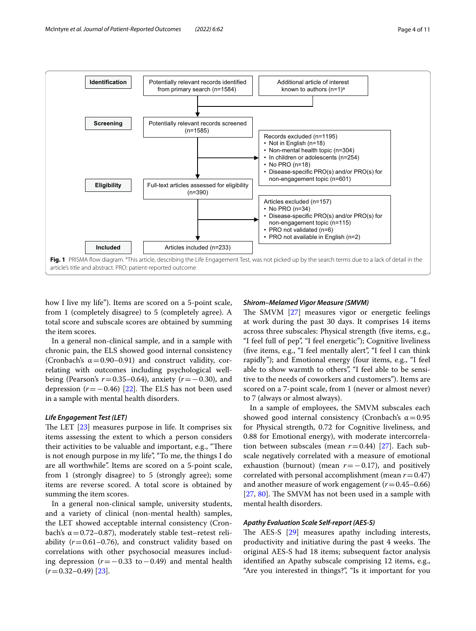

<span id="page-3-0"></span>how I live my life"). Items are scored on a 5-point scale, from 1 (completely disagree) to 5 (completely agree). A total score and subscale scores are obtained by summing the item scores.

In a general non-clinical sample, and in a sample with chronic pain, the ELS showed good internal consistency (Cronbach's  $\alpha = 0.90 - 0.91$ ) and construct validity, correlating with outcomes including psychological wellbeing (Pearson's *r*=0.35–0.64), anxiety (*r*=−0.30), and depression  $(r=-0.46)$  [[22\]](#page-9-1). The ELS has not been used in a sample with mental health disorders.

## *Life Engagement Test (LET)*

The LET  $[23]$  $[23]$  measures purpose in life. It comprises six items assessing the extent to which a person considers their activities to be valuable and important, e.g., "There is not enough purpose in my life", "To me, the things I do are all worthwhile". Items are scored on a 5-point scale, from 1 (strongly disagree) to 5 (strongly agree); some items are reverse scored. A total score is obtained by summing the item scores.

In a general non-clinical sample, university students, and a variety of clinical (non-mental health) samples, the LET showed acceptable internal consistency (Cronbach's  $\alpha$  = 0.72–0.87), moderately stable test–retest reliability  $(r=0.61-0.76)$ , and construct validity based on correlations with other psychosocial measures including depression (*r*=−0.33 to−0.49) and mental health  $(r=0.32-0.49)$  [\[23](#page-9-2)].

#### *Shirom–Melamed Vigor Measure (SMVM)*

The SMVM  $[27]$  $[27]$  measures vigor or energetic feelings at work during the past 30 days. It comprises 14 items across three subscales: Physical strength (fve items, e.g., "I feel full of pep", "I feel energetic"); Cognitive liveliness (fve items, e.g., "I feel mentally alert", "I feel I can think rapidly"); and Emotional energy (four items, e.g., "I feel able to show warmth to others", "I feel able to be sensitive to the needs of coworkers and customers"). Items are scored on a 7-point scale, from 1 (never or almost never) to 7 (always or almost always).

In a sample of employees, the SMVM subscales each showed good internal consistency (Cronbach's  $\alpha$  = 0.95 for Physical strength, 0.72 for Cognitive liveliness, and 0.88 for Emotional energy), with moderate intercorrelation between subscales (mean  $r=0.44$ ) [\[27](#page-9-3)]. Each subscale negatively correlated with a measure of emotional exhaustion (burnout) (mean  $r=-0.17$ ), and positively correlated with personal accomplishment (mean *r*=0.47) and another measure of work engagement  $(r=0.45-0.66)$  $[27, 80]$  $[27, 80]$  $[27, 80]$  $[27, 80]$ . The SMVM has not been used in a sample with mental health disorders.

# *Apathy Evaluation Scale Self‑report (AES‑S)*

The AES-S  $[29]$  $[29]$  measures apathy including interests, productivity and initiative during the past 4 weeks. The original AES-S had 18 items; subsequent factor analysis identifed an Apathy subscale comprising 12 items, e.g., "Are you interested in things?", "Is it important for you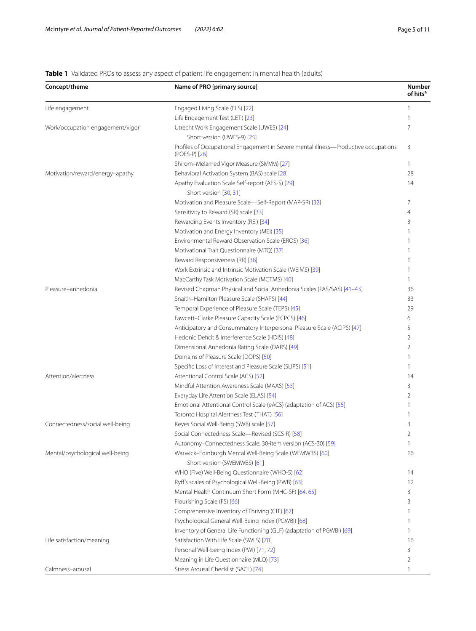# <span id="page-4-0"></span>**Table 1** Validated PROs to assess any aspect of patient life engagement in mental health (adults)

| Concept/theme                    | Name of PRO [primary source]                                                                         | <b>Number</b><br>of hits <sup>a</sup> |
|----------------------------------|------------------------------------------------------------------------------------------------------|---------------------------------------|
| Life engagement                  | Engaged Living Scale (ELS) [22]                                                                      | 1                                     |
|                                  | Life Engagement Test (LET) [23]                                                                      | 1                                     |
| Work/occupation engagement/vigor | Utrecht Work Engagement Scale (UWES) [24]                                                            | 7                                     |
|                                  | Short version (UWES-9) [25]                                                                          |                                       |
|                                  | Profiles of Occupational Engagement in Severe mental illness—Productive occupations<br>(POES-P) [26] | 3                                     |
|                                  | Shirom-Melamed Vigor Measure (SMVM) [27]                                                             | 1                                     |
| Motivation/reward/energy-apathy  | Behavioral Activation System (BAS) scale [28]                                                        | 28                                    |
|                                  | Apathy Evaluation Scale Self-report (AES-S) [29]<br>Short version [30, 31]                           | 14                                    |
|                                  | Motivation and Pleasure Scale-Self-Report (MAP-SR) [32]                                              | 7                                     |
|                                  | Sensitivity to Reward (SR) scale [33]                                                                | 4                                     |
|                                  | Rewarding Events Inventory (REI) [34]                                                                | 3                                     |
|                                  | Motivation and Energy Inventory (MEI) [35]                                                           | 1                                     |
|                                  | Environmental Reward Observation Scale (EROS) [36]                                                   | 1                                     |
|                                  | Motivational Trait Questionnaire (MTQ) [37]                                                          |                                       |
|                                  | Reward Responsiveness (RR) [38]                                                                      | 1                                     |
|                                  | Work Extrinsic and Intrinsic Motivation Scale (WEIMS) [39]                                           | 1                                     |
|                                  | MacCarthy Task Motivation Scale (MCTMS) [40]                                                         | 1                                     |
| Pleasure-anhedonia               | Revised Chapman Physical and Social Anhedonia Scales (PAS/SAS) [41-43]                               | 36                                    |
|                                  | Snaith-Hamilton Pleasure Scale (SHAPS) [44]                                                          | 33                                    |
|                                  | Temporal Experience of Pleasure Scale (TEPS) [45]                                                    | 29                                    |
|                                  | Fawcett-Clarke Pleasure Capacity Scale (FCPCS) [46]                                                  | 6                                     |
|                                  | Anticipatory and Consummatory Interpersonal Pleasure Scale (ACIPS) [47]                              | 5                                     |
|                                  | Hedonic Deficit & Interference Scale (HDIS) [48]                                                     | 2                                     |
|                                  | Dimensional Anhedonia Rating Scale (DARS) [49]                                                       | 2                                     |
|                                  | Domains of Pleasure Scale (DOPS) [50]                                                                | 1                                     |
|                                  | Specific Loss of Interest and Pleasure Scale (SLIPS) [51]                                            | 1                                     |
| Attention/alertness              | Attentional Control Scale (ACS) [52]                                                                 | 14                                    |
|                                  | Mindful Attention Awareness Scale (MAAS) [53]                                                        | 3                                     |
|                                  | Everyday Life Attention Scale (ELAS) [54]                                                            | 2                                     |
|                                  | Emotional Attentional Control Scale (eACS) (adaptation of ACS) [55]                                  |                                       |
|                                  | Toronto Hospital Alertness Test (THAT) [56]                                                          |                                       |
| Connectedness/social well-being  | Keyes Social Well-Being (SWB) scale [57]                                                             | 3                                     |
|                                  | Social Connectedness Scale—Revised (SCS-R) [58]                                                      | 2                                     |
|                                  | Autonomy-Connectedness Scale, 30-item version (ACS-30) [59]                                          | 1                                     |
| Mental/psychological well-being  | Warwick-Edinburgh Mental Well-Being Scale (WEMWBS) [60]<br>Short version (SWEMWBS) [61]              | 16                                    |
|                                  | WHO (Five) Well-Being Questionnaire (WHO-5) [62]                                                     | 14                                    |
|                                  | Ryff's scales of Psychological Well-Being (PWB) [63]                                                 | 12                                    |
|                                  | Mental Health Continuum Short Form (MHC-SF) [64, 65]                                                 | 3                                     |
|                                  | Flourishing Scale (FS) [66]                                                                          | 3                                     |
|                                  | Comprehensive Inventory of Thriving (CIT) [67]                                                       | 1                                     |
|                                  | Psychological General Well-Being Index (PGWBI) [68]                                                  | 1                                     |
|                                  | Inventory of General Life Functioning (GLF) (adaptation of PGWBI) [69]                               | 1                                     |
| Life satisfaction/meaning        | Satisfaction With Life Scale (SWLS) [70]                                                             | 16                                    |
|                                  | Personal Well-being Index (PWI) [71, 72]                                                             | 3                                     |
|                                  | Meaning in Life Questionnaire (MLQ) [73]                                                             | 2                                     |
| Calmness-arousal                 | Stress Arousal Checklist (SACL) [74]                                                                 | 1                                     |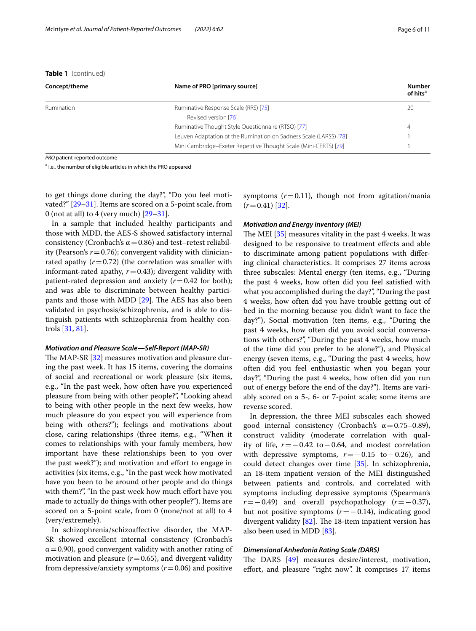**Table 1** (continued)

| Concept/theme | Name of PRO [primary source]                                      | <b>Number</b><br>of hits <sup>a</sup> |
|---------------|-------------------------------------------------------------------|---------------------------------------|
| Rumination    | Ruminative Response Scale (RRS) [75]                              | 20                                    |
|               | Revised version [76]                                              |                                       |
|               | Ruminative Thought Style Questionnaire (RTSQ) [77]                | 4                                     |
|               | Leuven Adaptation of the Rumination on Sadness Scale (LARSS) [78] |                                       |
|               | Mini Cambridge-Exeter Repetitive Thought Scale (Mini-CERTS) [79]  |                                       |

*PRO* patient-reported outcome

<sup>a</sup> I.e., the number of eligible articles in which the PRO appeared

to get things done during the day?", "Do you feel motivated?" [[29–](#page-9-4)[31](#page-9-10)]. Items are scored on a 5-point scale, from 0 (not at all) to 4 (very much)  $[29-31]$  $[29-31]$ .

In a sample that included healthy participants and those with MDD, the AES-S showed satisfactory internal consistency (Cronbach's  $\alpha$  = 0.86) and test–retest reliability (Pearson's  $r = 0.76$ ); convergent validity with clinicianrated apathy  $(r=0.72)$  (the correlation was smaller with informant-rated apathy,  $r=0.43$ ); divergent validity with patient-rated depression and anxiety  $(r=0.42$  for both); and was able to discriminate between healthy participants and those with MDD  $[29]$  $[29]$ . The AES has also been validated in psychosis/schizophrenia, and is able to distinguish patients with schizophrenia from healthy controls [[31,](#page-9-10) [81\]](#page-10-7).

#### *Motivation and Pleasure Scale—Self‑Report (MAP‑SR)*

The MAP-SR [[32\]](#page-9-11) measures motivation and pleasure during the past week. It has 15 items, covering the domains of social and recreational or work pleasure (six items, e.g., "In the past week, how often have you experienced pleasure from being with other people?", "Looking ahead to being with other people in the next few weeks, how much pleasure do you expect you will experience from being with others?"); feelings and motivations about close, caring relationships (three items, e.g., "When it comes to relationships with your family members, how important have these relationships been to you over the past week?"); and motivation and efort to engage in activities (six items, e.g., "In the past week how motivated have you been to be around other people and do things with them?", "In the past week how much effort have you made to actually do things with other people?"). Items are scored on a 5-point scale, from 0 (none/not at all) to 4 (very/extremely).

In schizophrenia/schizoafective disorder, the MAP-SR showed excellent internal consistency (Cronbach's  $\alpha$  = 0.90), good convergent validity with another rating of motivation and pleasure  $(r=0.65)$ , and divergent validity from depressive/anxiety symptoms (*r*=0.06) and positive

symptoms  $(r=0.11)$ , though not from agitation/mania  $(r=0.41)$  [\[32](#page-9-11)].

#### *Motivation and Energy Inventory (MEI)*

The MEI  $[35]$  measures vitality in the past 4 weeks. It was designed to be responsive to treatment efects and able to discriminate among patient populations with difering clinical characteristics. It comprises 27 items across three subscales: Mental energy (ten items, e.g., "During the past 4 weeks, how often did you feel satisfed with what you accomplished during the day?", "During the past 4 weeks, how often did you have trouble getting out of bed in the morning because you didn't want to face the day?"), Social motivation (ten items, e.g., "During the past 4 weeks, how often did you avoid social conversations with others?", "During the past 4 weeks, how much of the time did you prefer to be alone?"), and Physical energy (seven items, e.g., "During the past 4 weeks, how often did you feel enthusiastic when you began your day?", "During the past 4 weeks, how often did you run out of energy before the end of the day?"). Items are variably scored on a 5-, 6- or 7-point scale; some items are reverse scored.

In depression, the three MEI subscales each showed good internal consistency (Cronbach's  $\alpha = 0.75 - 0.89$ ), construct validity (moderate correlation with quality of life, *r*=−0.42 to−0.64, and modest correlation with depressive symptoms, *r*=−0.15 to−0.26), and could detect changes over time [\[35](#page-9-14)]. In schizophrenia, an 18-item inpatient version of the MEI distinguished between patients and controls, and correlated with symptoms including depressive symptoms (Spearman's *r*=−0.49) and overall psychopathology (*r*=−0.37), but not positive symptoms (*r*=−0.14), indicating good divergent validity  $[82]$  $[82]$ . The 18-item inpatient version has also been used in MDD [\[83\]](#page-10-9).

## *Dimensional Anhedonia Rating Scale (DARS)*

The DARS  $[49]$  $[49]$  measures desire/interest, motivation, effort, and pleasure "right now". It comprises 17 items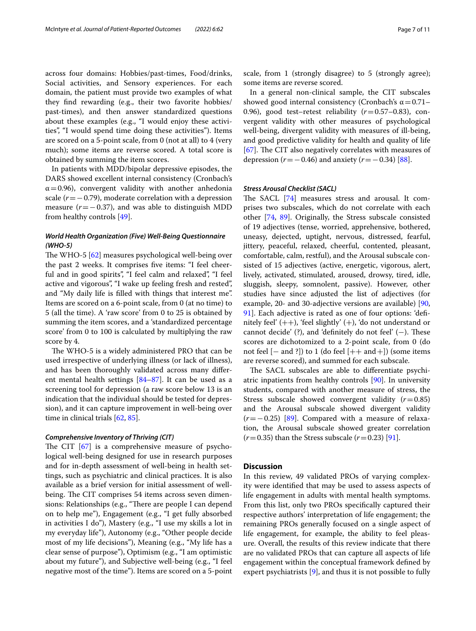across four domains: Hobbies/past-times, Food/drinks, Social activities, and Sensory experiences. For each domain, the patient must provide two examples of what they fnd rewarding (e.g., their two favorite hobbies/ past-times), and then answer standardized questions about these examples (e.g., "I would enjoy these activities", "I would spend time doing these activities"). Items are scored on a 5-point scale, from 0 (not at all) to 4 (very much); some items are reverse scored. A total score is obtained by summing the item scores.

In patients with MDD/bipolar depressive episodes, the DARS showed excellent internal consistency (Cronbach's  $\alpha$  = 0.96), convergent validity with another anhedonia scale (*r*=−0.79), moderate correlation with a depression measure (*r*=−0.37), and was able to distinguish MDD from healthy controls [\[49](#page-9-27)].

# *World Health Organization (Five) Well‑Being Questionnaire (WHO‑5)*

The WHO-5  $[62]$  $[62]$  measures psychological well-being over the past 2 weeks. It comprises fve items: "I feel cheerful and in good spirits", "I feel calm and relaxed", "I feel active and vigorous", "I wake up feeling fresh and rested", and "My daily life is flled with things that interest me". Items are scored on a 6-point scale, from 0 (at no time) to 5 (all the time). A 'raw score' from 0 to 25 is obtained by summing the item scores, and a 'standardized percentage score' from 0 to 100 is calculated by multiplying the raw score by 4.

The WHO-5 is a widely administered PRO that can be used irrespective of underlying illness (or lack of illness), and has been thoroughly validated across many diferent mental health settings [[84–](#page-10-15)[87](#page-10-16)]. It can be used as a screening tool for depression (a raw score below 13 is an indication that the individual should be tested for depression), and it can capture improvement in well-being over time in clinical trials [[62](#page-9-40), [85\]](#page-10-17).

#### *Comprehensive Inventory of Thriving (CIT)*

The CIT  $[67]$  $[67]$  $[67]$  is a comprehensive measure of psychological well-being designed for use in research purposes and for in-depth assessment of well-being in health settings, such as psychiatric and clinical practices. It is also available as a brief version for initial assessment of wellbeing. The CIT comprises 54 items across seven dimensions: Relationships (e.g., "There are people I can depend on to help me"), Engagement (e.g., "I get fully absorbed in activities I do"), Mastery (e.g., "I use my skills a lot in my everyday life"), Autonomy (e.g., "Other people decide most of my life decisions"), Meaning (e.g., "My life has a clear sense of purpose"), Optimism (e.g., "I am optimistic about my future"), and Subjective well-being (e.g., "I feel negative most of the time"). Items are scored on a 5-point scale, from 1 (strongly disagree) to 5 (strongly agree); some items are reverse scored.

In a general non-clinical sample, the CIT subscales showed good internal consistency (Cronbach's  $\alpha$  = 0.71– 0.96), good test–retest reliability (*r*=0.57–0.83), convergent validity with other measures of psychological well-being, divergent validity with measures of ill-being, and good predictive validity for health and quality of life [[67\]](#page-9-45). The CIT also negatively correlates with measures of depression ( $r = -0.46$ ) and anxiety ( $r = -0.34$ ) [[88](#page-10-18)].

#### *Stress Arousal Checklist (SACL)*

The SACL  $[74]$  measures stress and arousal. It comprises two subscales, which do not correlate with each other [[74,](#page-10-6) [89](#page-10-19)]. Originally, the Stress subscale consisted of 19 adjectives (tense, worried, apprehensive, bothered, uneasy, dejected, uptight, nervous, distressed, fearful, jittery, peaceful, relaxed, cheerful, contented, pleasant, comfortable, calm, restful), and the Arousal subscale consisted of 15 adjectives (active, energetic, vigorous, alert, lively, activated, stimulated, aroused, drowsy, tired, idle, sluggish, sleepy, somnolent, passive). However, other studies have since adjusted the list of adjectives (for example, 20- and 30-adjective versions are available) [[90](#page-10-20), [91\]](#page-10-21). Each adjective is rated as one of four options: 'definitely feel' (++), 'feel slightly' (+), 'do not understand or cannot decide' (?), and 'definitely do not feel'  $(-)$ . These scores are dichotomized to a 2-point scale, from 0 (do not feel [− and ?]) to 1 (do feel [++ and+]) (some items are reverse scored), and summed for each subscale.

The SACL subscales are able to differentiate psychiatric inpatients from healthy controls [\[90](#page-10-20)]. In university students, compared with another measure of stress, the Stress subscale showed convergent validity (*r*=0.85) and the Arousal subscale showed divergent validity (*r*=−0.25) [[89](#page-10-19)]. Compared with a measure of relaxation, the Arousal subscale showed greater correlation  $(r=0.35)$  than the Stress subscale  $(r=0.23)$  [[91\]](#page-10-21).

#### **Discussion**

In this review, 49 validated PROs of varying complexity were identifed that may be used to assess aspects of life engagement in adults with mental health symptoms. From this list, only two PROs specifcally captured their respective authors' interpretation of life engagement; the remaining PROs generally focused on a single aspect of life engagement, for example, the ability to feel pleasure. Overall, the results of this review indicate that there are no validated PROs that can capture all aspects of life engagement within the conceptual framework defned by expert psychiatrists  $[9]$  $[9]$ , and thus it is not possible to fully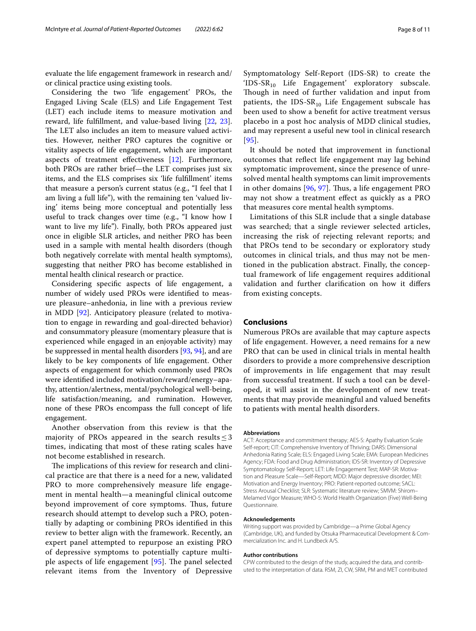evaluate the life engagement framework in research and/ or clinical practice using existing tools.

Considering the two 'life engagement' PROs, the Engaged Living Scale (ELS) and Life Engagement Test (LET) each include items to measure motivation and reward, life fulfllment, and value-based living [\[22](#page-9-1), [23](#page-9-2)]. The LET also includes an item to measure valued activities. However, neither PRO captures the cognitive or vitality aspects of life engagement, which are important aspects of treatment efectiveness [\[12](#page-8-10)]. Furthermore, both PROs are rather brief—the LET comprises just six items, and the ELS comprises six 'life fulfllment' items that measure a person's current status (e.g., "I feel that I am living a full life"), with the remaining ten 'valued living' items being more conceptual and potentially less useful to track changes over time (e.g., "I know how I want to live my life"). Finally, both PROs appeared just once in eligible SLR articles, and neither PRO has been used in a sample with mental health disorders (though both negatively correlate with mental health symptoms), suggesting that neither PRO has become established in mental health clinical research or practice.

Considering specifc aspects of life engagement, a number of widely used PROs were identifed to measure pleasure–anhedonia, in line with a previous review in MDD [[92\]](#page-10-22). Anticipatory pleasure (related to motivation to engage in rewarding and goal-directed behavior) and consummatory pleasure (momentary pleasure that is experienced while engaged in an enjoyable activity) may be suppressed in mental health disorders [[93](#page-10-23), [94\]](#page-10-24), and are likely to be key components of life engagement. Other aspects of engagement for which commonly used PROs were identifed included motivation/reward/energy–apathy, attention/alertness, mental/psychological well-being, life satisfaction/meaning, and rumination. However, none of these PROs encompass the full concept of life engagement.

Another observation from this review is that the majority of PROs appeared in the search results  $\leq$  3 times, indicating that most of these rating scales have not become established in research.

The implications of this review for research and clinical practice are that there is a need for a new, validated PRO to more comprehensively measure life engagement in mental health—a meaningful clinical outcome beyond improvement of core symptoms. Thus, future research should attempt to develop such a PRO, potentially by adapting or combining PROs identifed in this review to better align with the framework. Recently, an expert panel attempted to repurpose an existing PRO of depressive symptoms to potentially capture multiple aspects of life engagement  $[95]$ . The panel selected relevant items from the Inventory of Depressive Symptomatology Self-Report (IDS-SR) to create the 'IDS-SR<sub>10</sub> Life Engagement' exploratory subscale. Though in need of further validation and input from patients, the IDS-SR<sub>10</sub> Life Engagement subscale has been used to show a beneft for active treatment versus placebo in a post hoc analysis of MDD clinical studies, and may represent a useful new tool in clinical research [[95](#page-10-25)].

It should be noted that improvement in functional outcomes that refect life engagement may lag behind symptomatic improvement, since the presence of unresolved mental health symptoms can limit improvements in other domains  $[96, 97]$  $[96, 97]$  $[96, 97]$  $[96, 97]$  $[96, 97]$ . Thus, a life engagement PRO may not show a treatment efect as quickly as a PRO that measures core mental health symptoms.

Limitations of this SLR include that a single database was searched; that a single reviewer selected articles, increasing the risk of rejecting relevant reports; and that PROs tend to be secondary or exploratory study outcomes in clinical trials, and thus may not be mentioned in the publication abstract. Finally, the conceptual framework of life engagement requires additional validation and further clarifcation on how it difers from existing concepts.

# **Conclusions**

Numerous PROs are available that may capture aspects of life engagement. However, a need remains for a new PRO that can be used in clinical trials in mental health disorders to provide a more comprehensive description of improvements in life engagement that may result from successful treatment. If such a tool can be developed, it will assist in the development of new treatments that may provide meaningful and valued benefts to patients with mental health disorders.

#### **Abbreviations**

ACT: Acceptance and commitment therapy; AES-S: Apathy Evaluation Scale Self-report; CIT: Comprehensive Inventory of Thriving; DARS: Dimensional Anhedonia Rating Scale; ELS: Engaged Living Scale; EMA: European Medicines Agency; FDA: Food and Drug Administration; IDS-SR: Inventory of Depressive Symptomatology Self-Report; LET: Life Engagement Test; MAP-SR: Motivation and Pleasure Scale—Self-Report; MDD: Major depressive disorder; MEI: Motivation and Energy Inventory; PRO: Patient-reported outcome; SACL: Stress Arousal Checklist; SLR: Systematic literature review; SMVM: Shirom– Melamed Vigor Measure; WHO-5: World Health Organization (Five) Well-Being Questionnaire.

#### **Acknowledgements**

Writing support was provided by Cambridge—a Prime Global Agency (Cambridge, UK), and funded by Otsuka Pharmaceutical Development & Commercialization Inc. and H. Lundbeck A/S.

#### **Author contributions**

CPW contributed to the design of the study, acquired the data, and contributed to the interpretation of data. RSM, ZI, CW, SRM, PM and MET contributed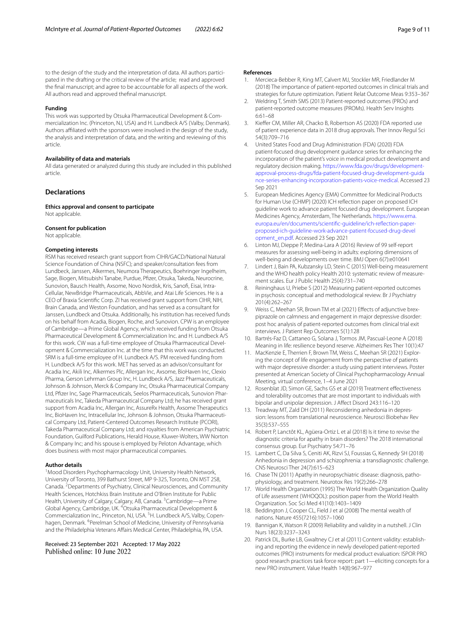to the design of the study and the interpretation of data. All authors participated in the drafting or the critical review of the article; read and approved the fnal manuscript; and agree to be accountable for all aspects of the work. All authors read and approved thefnal manuscript.

#### **Funding**

This work was supported by Otsuka Pharmaceutical Development & Commercialization Inc. (Princeton, NJ, USA) and H. Lundbeck A/S (Valby, Denmark). Authors affiliated with the sponsors were involved in the design of the study, the analysis and interpretation of data, and the writing and reviewing of this article.

#### **Availability of data and materials**

All data generated or analyzed during this study are included in this published article.

## **Declarations**

**Ethics approval and consent to participate** Not applicable.

#### **Consent for publication**

Not applicable.

#### **Competing interests**

RSM has received research grant support from CIHR/GACD/National Natural Science Foundation of China (NSFC); and speaker/consultation fees from Lundbeck, Janssen, Alkermes, Neumora Therapeutics, Boehringer Ingelheim, Sage, Biogen, Mitsubishi Tanabe, Purdue, Pfzer, Otsuka, Takeda, Neurocrine, Sunovion, Bausch Health, Axsome, Novo Nordisk, Kris, Sanof, Eisai, Intra-Cellular, NewBridge Pharmaceuticals, AbbVie, and Atai Life Sciences. He is a CEO of Braxia Scientifc Corp. ZI has received grant support from CIHR, NIH, Brain Canada, and Weston Foundation, and has served as a consultant for Janssen, Lundbeck and Otsuka. Additionally, his institution has received funds on his behalf from Acadia, Biogen, Roche, and Sunovion. CPW is an employee of Cambridge—a Prime Global Agency, which received funding from Otsuka Pharmaceutical Development & Commercialization Inc. and H. Lundbeck A/S for this work. CW was a full-time employee of Otsuka Pharmaceutical Development & Commercialization Inc. at the time that this work was conducted. SRM is a full-time employee of H. Lundbeck A/S. PM received funding from H. Lundbeck A/S for this work. MET has served as an advisor/consultant for Acadia Inc, Akili Inc, Alkermes Plc, Allergan Inc, Axsome, BioHaven Inc, Clexio Pharma, Gerson Lehrman Group Inc, H. Lundbeck A/S, Jazz Pharmaceuticals, Johnson & Johnson, Merck & Company Inc, Otsuka Pharmaceutical Company Ltd, Pfzer Inc, Sage Pharmaceuticals, Seelos Pharmaceuticals, Sunovion Pharmaceuticals Inc, Takeda Pharmaceutical Company Ltd; he has received grant support from Acadia Inc, Allergan Inc, AssureRx Health, Axsome Therapeutics Inc, BioHaven Inc, Intracellular Inc, Johnson & Johnson, Otsuka Pharmaceutical Company Ltd, Patient-Centered Outcomes Research Institute (PCORI), Takeda Pharmaceutical Company Ltd; and royalties from American Psychiatric Foundation, Guilford Publications, Herald House, Kluwer-Wolters, WW Norton & Company Inc; and his spouse is employed by Peloton Advantage, which does business with most major pharmaceutical companies.

#### **Author details**

<sup>1</sup> Mood Disorders Psychopharmacology Unit, University Health Network, University of Toronto, 399 Bathurst Street, MP 9-325, Toronto, ON M5T 2S8, Canada. <sup>2</sup> Departments of Psychiatry, Clinical Neurosciences, and Community Health Sciences, Hotchkiss Brain Institute and O'Brien Institute for Public Health, University of Calgary, Calgary, AB, Canada. <sup>3</sup>Cambridge—a Prime Global Agency, Cambridge, UK. <sup>4</sup>Otsuka Pharmaceutical Development & Commercialization Inc., Princeton, NJ, USA. <sup>5</sup>H. Lundbeck A/S, Valby, Copenhagen, Denmark. <sup>6</sup> Perelman School of Medicine, University of Pennsylvania and the Philadelphia Veterans Afairs Medical Center, Philadelphia, PA, USA.

Received: 23 September 2021 Accepted: 17 May 2022

#### **References**

- <span id="page-8-0"></span>1. Mercieca-Bebber R, King MT, Calvert MJ, Stockler MR, Friedlander M (2018) The importance of patient-reported outcomes in clinical trials and strategies for future optimization. Patient Relat Outcome Meas 9:353–367
- <span id="page-8-1"></span>2. Weldring T, Smith SMS (2013) Patient-reported outcomes (PROs) and patient-reported outcome measures (PROMs). Health Serv Insights 6:61–68
- <span id="page-8-2"></span>3. Kiefer CM, Miller AR, Chacko B, Robertson AS (2020) FDA reported use of patient experience data in 2018 drug approvals. Ther Innov Regul Sci 54(3):709–716
- <span id="page-8-3"></span>4. United States Food and Drug Administration (FDA) (2020) FDA patient-focused drug development guidance series for enhancing the incorporation of the patient's voice in medical product development and regulatory decision making. [https://www.fda.gov/drugs/development](https://www.fda.gov/drugs/development-approval-process-drugs/fda-patient-focused-drug-development-guidance-series-enhancing-incorporation-patients-voice-medical)[approval-process-drugs/fda-patient-focused-drug-development-guida](https://www.fda.gov/drugs/development-approval-process-drugs/fda-patient-focused-drug-development-guidance-series-enhancing-incorporation-patients-voice-medical) [nce-series-enhancing-incorporation-patients-voice-medical](https://www.fda.gov/drugs/development-approval-process-drugs/fda-patient-focused-drug-development-guidance-series-enhancing-incorporation-patients-voice-medical). Accessed 23 Sep 2021
- <span id="page-8-4"></span>5. European Medicines Agency (EMA) Committee for Medicinal Products for Human Use (CHMP) (2020) ICH refection paper on proposed ICH guideline work to advance patient focused drug development. European Medicines Agency, Amsterdam, The Netherlands. [https://www.ema.](https://www.ema.europa.eu/en/documents/scientific-guideline/ich-reflection-paper-proposed-ich-guideline-work-advance-patient-focused-drug-development_en.pdf) [europa.eu/en/documents/scientifc-guideline/ich-refection-paper](https://www.ema.europa.eu/en/documents/scientific-guideline/ich-reflection-paper-proposed-ich-guideline-work-advance-patient-focused-drug-development_en.pdf)[proposed-ich-guideline-work-advance-patient-focused-drug-devel](https://www.ema.europa.eu/en/documents/scientific-guideline/ich-reflection-paper-proposed-ich-guideline-work-advance-patient-focused-drug-development_en.pdf) [opment\\_en.pdf.](https://www.ema.europa.eu/en/documents/scientific-guideline/ich-reflection-paper-proposed-ich-guideline-work-advance-patient-focused-drug-development_en.pdf) Accessed 23 Sep 2021
- <span id="page-8-5"></span>6. Linton MJ, Dieppe P, Medina-Lara A (2016) Review of 99 self-report measures for assessing well-being in adults: exploring dimensions of well-being and developments over time. BMJ Open 6(7):e010641
- <span id="page-8-19"></span>7. Lindert J, Bain PA, Kubzansky LD, Stein C (2015) Well-being measurement and the WHO health policy Health 2010: systematic review of measurement scales. Eur J Public Health 25(4):731–740
- <span id="page-8-6"></span>Reininghaus U, Priebe S (2012) Measuring patient-reported outcomes in psychosis: conceptual and methodological review. Br J Psychiatry 201(4):262–267
- <span id="page-8-7"></span>Weiss C, Meehan SR, Brown TM et al (2021) Effects of adjunctive brexpiprazole on calmness and engagement in major depressive disorder: post hoc analysis of patient-reported outcomes from clinical trial exit interviews. J Patient Rep Outcomes 5(1):128
- <span id="page-8-8"></span>10. Bartrés-Faz D, Cattaneo G, Solana J, Tormos JM, Pascual-Leone A (2018) Meaning in life: resilience beyond reserve. Alzheimers Res Ther 10(1):47
- <span id="page-8-9"></span>11. MacKenzie E, Therrien F, Brown TM, Weiss C, Meehan SR (2021) Exploring the concept of life engagement from the perspective of patients with major depressive disorder: a study using patient interviews. Poster presented at American Society of Clinical Psychopharmacology Annual Meeting, virtual conference, 1–4 June 2021
- <span id="page-8-10"></span>12. Rosenblat JD, Simon GE, Sachs GS et al (2019) Treatment efectiveness and tolerability outcomes that are most important to individuals with bipolar and unipolar depression. J Afect Disord 243:116–120
- <span id="page-8-11"></span>13. Treadway MT, Zald DH (2011) Reconsidering anhedonia in depression: lessons from translational neuroscience. Neurosci Biobehav Rev 35(3):537–555
- <span id="page-8-12"></span>14. Robert P, Lanctôt KL, Agüera-Ortiz L et al (2018) Is it time to revise the diagnostic criteria for apathy in brain disorders? The 2018 international consensus group. Eur Psychiatry 54:71–76
- <span id="page-8-13"></span>15. Lambert C, Da Silva S, Ceniti AK, Rizvi SJ, Foussias G, Kennedy SH (2018) Anhedonia in depression and schizophrenia: a transdiagnostic challenge. CNS Neurosci Ther 24(7):615–623
- <span id="page-8-14"></span>16. Chase TN (2011) Apathy in neuropsychiatric disease: diagnosis, pathophysiology, and treatment. Neurotox Res 19(2):266–278
- <span id="page-8-15"></span>17. World Health Organization (1995) The World Health Organization Quality of Life assessment (WHOQOL): position paper from the World Health Organization. Soc Sci Med 41(10):1403–1409
- <span id="page-8-16"></span>18. Beddington J, Cooper CL, Field J et al (2008) The mental wealth of nations. Nature 455(7216):1057–1060
- <span id="page-8-17"></span>19. Bannigan K, Watson R (2009) Reliability and validity in a nutshell. J Clin Nurs 18(23):3237–3243
- <span id="page-8-18"></span>20. Patrick DL, Burke LB, Gwaltney CJ et al (2011) Content validity: establishing and reporting the evidence in newly developed patient-reported outcomes (PRO) instruments for medical product evaluation: ISPOR PRO good research practices task force report: part 1—eliciting concepts for a new PRO instrument. Value Health 14(8):967–977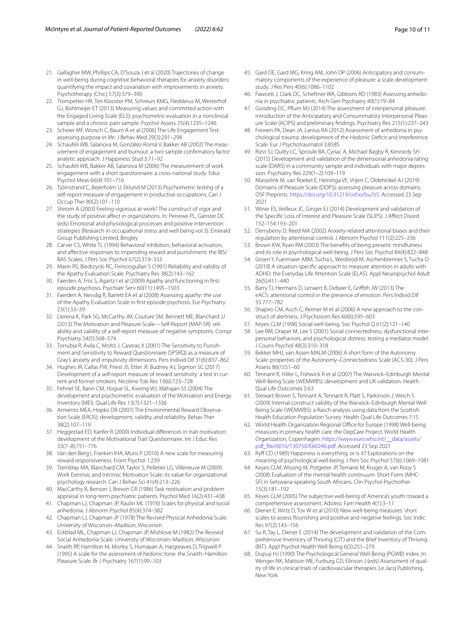- <span id="page-9-0"></span>21. Gallagher MW, Phillips CA, D'Souza J et al (2020) Trajectories of change in well-being during cognitive behavioral therapies for anxiety disorders: quantifying the impact and covariation with improvements in anxiety. Psychotherapy (Chic) 57(3):379–390
- <span id="page-9-1"></span>22. Trompetter HR, Ten Klooster PM, Schreurs KMG, Fledderus M, Westerhof GJ, Bohlmeijer ET (2013) Measuring values and committed action with the Engaged Living Scale (ELS): psychometric evaluation in a nonclinical sample and a chronic pain sample. Psychol Assess 25(4):1235–1246
- <span id="page-9-2"></span>23. Scheier MF, Wrosch C, Baum A et al (2006) The Life Engagement Test: assessing purpose in life. J Behav Med 29(3):291–298
- <span id="page-9-5"></span>24. Schaufeli WB, Salanova M, González-Romá V, Bakker AB (2002) The measurement of engagement and burnout: a two sample confrmatory factor analytic approach. J Happiness Stud 3:71–92
- <span id="page-9-6"></span>25. Schaufeli WB, Bakker AB, Salanova M (2006) The measurement of work engagement with a short questionnaire: a cross-national study. Educ Psychol Meas 66(4):701–716
- <span id="page-9-7"></span>26. Tjörnstrand C, Bejerholm U, Eklund M (2013) Psychometric testing of a self-report measure of engagement in productive occupations. Can J Occup Ther 80(2):101–110
- <span id="page-9-3"></span>27. Shirom A (2003) Feeling vigorous at work? The construct of vigor and the study of positive affect in organizations. In: Perrewe PL, Ganster DC (eds) Emotional and physiological processes and positive intervention strategies (Research in occupational stress and well being vol 3). Emerald Group Publishing Limited, Bingley
- <span id="page-9-8"></span>28. Carver CS, White TL (1994) Behavioral inhibition, behavioral activation, and afective responses to impending reward and punishment: the BIS/ BAS Scales. J Pers Soc Psychol 67(2):319–333
- <span id="page-9-4"></span>29. Marin RS, Biedrzycki RC, Firinciogullari S (1991) Reliability and validity of the Apathy Evaluation Scale. Psychiatry Res 38(2):143–162
- <span id="page-9-9"></span>30. Faerden A, Friis S, Agartz I et al (2009) Apathy and functioning in frstepisode psychosis. Psychiatr Serv 60(11):1495–1503
- <span id="page-9-10"></span>31. Faerden A, Nesvåg R, Barrett EA et al (2008) Assessing apathy: the use of the Apathy Evaluation Scale in frst episode psychosis. Eur Psychiatry 23(1):33–39
- <span id="page-9-11"></span>32. Llerena K, Park SG, McCarthy JM, Couture SM, Bennett ME, Blanchard JJ (2013) The Motivation and Pleasure Scale—Self-Report (MAP-SR): reliability and validity of a self-report measure of negative symptoms. Compr Psychiatry 54(5):568–574
- <span id="page-9-12"></span>33. Torrubia R, Ávila C, Moltó J, Caseras X (2001) The Sensitivity to Punishment and Sensitivity to Reward Questionnaire (SPSRQ) as a measure of Gray's anxiety and impulsivity dimensions. Pers Individ Dif 31(6):837–862
- <span id="page-9-13"></span>34. Hughes JR, Callas PW, Priest JS, Etter JF, Budney AJ, Sigmon SC (2017) Development of a self-report measure of reward sensitivity: a test in current and former smokers. Nicotine Tob Res 19(6):723–728
- <span id="page-9-14"></span>35. Fehnel SE, Bann CM, Hogue SL, Kwong WJ, Mahajan SS (2004) The development and psychometric evaluation of the Motivation and Energy Inventory (MEI). Qual Life Res 13(7):1321–1336
- <span id="page-9-15"></span>36. Armento MEA, Hopko DR (2007) The Environmental Reward Observation Scale (EROS): development, validity, and reliability. Behav Ther 38(2):107–119
- <span id="page-9-16"></span>37. Heggestad ED, Kanfer R (2000) Individual diferences in trait motivation: development of the Motivational Trait Questionnaire. Int J Educ Res 33(7–8):751–776
- <span id="page-9-17"></span>38. Van den Berg I, Franken IHA, Muris P (2010) A new scale for measuring reward responsiveness. Front Psychol 1:239
- <span id="page-9-18"></span>39. Tremblay MA, Blanchard CM, Taylor S, Pelletier LG, Villeneuve M (2009) Work Extrinsic and Intrinsic Motivation Scale: its value for organizational psychology research. Can J Behav Sci 41(4):213–226
- <span id="page-9-19"></span>40. MacCarthy B, Benson J, Brewin CR (1986) Task motivation and problem appraisal in long-term psychiatric patients. Psychol Med 16(2):431–438
- <span id="page-9-20"></span>41. Chapman LJ, Chapman JP, Raulin ML (1976) Scales for physical and social anhedonia. J Abnorm Psychol 85(4):374–382
- 42. Chapman LJ, Chapman JP (1978) The Revised Physical Anhedonia Scale. University of Wisconsin–Madison, Wisconsin
- <span id="page-9-21"></span>43. Eckblad ML, Chapman LJ, Chapman JP, Mishlove M (1982) The Revised Social Anhedonia Scale. University of Wisconsin–Madison, Wisconsin
- <span id="page-9-22"></span>44. Snaith RP, Hamilton M, Morley S, Humayan A, Hargreaves D, Trigwell P (1995) A scale for the assessment of hedonic tone: the Snaith–Hamilton Pleasure Scale. Br J Psychiatry 167(1):99–103
- <span id="page-9-23"></span>45. Gard DE, Gard MG, Kring AM, John OP (2006) Anticipatory and consummatory components of the experience of pleasure: a scale development study. J Res Pers 40(6):1086–1102
- <span id="page-9-24"></span>46. Fawcett J, Clark DC, Scheftner WA, Gibbons RD (1983) Assessing anhedonia in psychiatric patients. Arch Gen Psychiatry 40(1):79–84
- <span id="page-9-25"></span>47. Gooding DC, Pfum MJ (2014) The assessment of interpersonal pleasure: introduction of the Anticipatory and Consummatory Interpersonal Pleasure Scale (ACIPS) and preliminary fndings. Psychiatry Res 215(1):237–243
- <span id="page-9-26"></span>48. Frewen PA, Dean JA, Lanius RA (2012) Assessment of anhedonia in psychological trauma: development of the Hedonic Defcit and Interference Scale. Eur J Psychotraumatol 3:8585
- <span id="page-9-27"></span>49. Rizvi SJ, Quilty LC, Sproule BA, Cyriac A, Michael Bagby R, Kennedy SH (2015) Development and validation of the dimensional anhedonia rating scale (DARS) in a community sample and individuals with major depression. Psychiatry Res 229(1–2):109–119
- <span id="page-9-28"></span>50. Masselink M, van Roekel E, Heininga VE, Vrijen C, Oldehinkel AJ (2019) Domains of Pleasure Scale (DOPS): assessing pleasure across domains. OSF Preprints. [https://doi.org/10.31219/osf.io/bu7z5.](https://doi.org/10.31219/osf.io/bu7z5) Accessed 23 Sep 2021
- <span id="page-9-29"></span>51. Winer ES, Veilleux JC, Ginger EJ (2014) Development and validation of the Specific Loss of Interest and Pleasure Scale (SLIPS). J Affect Disord 152–154:193–201
- <span id="page-9-30"></span>52. Derryberry D, Reed MA (2002) Anxiety-related attentional biases and their regulation by attentional control. J Abnorm Psychol 111(2):225–236
- <span id="page-9-31"></span>53. Brown KW, Ryan RM (2003) The benefts of being present: mindfulness and its role in psychological well-being. J Pers Soc Psychol 84(4):822–848
- <span id="page-9-32"></span>54. Groen Y, Fuermaier ABM, Tucha L, Weisbrod M, Aschenbrenner S, Tucha O (2019) A situation-specifc approach to measure attention in adults with ADHD: the Everyday Life Attention Scale (ELAS). Appl Neuropsychol Adult 26(5):411–440
- <span id="page-9-33"></span>55. Barry TJ, Hermans D, Lenaert B, Debeer E, Grifth JW (2013) The eACS: attentional control in the presence of emotion. Pers Individ Dif 55:777–782
- <span id="page-9-34"></span>56. Shapiro CM, Auch C, Reimer M et al (2006) A new approach to the construct of alertness. J Psychosom Res 60(6):595–603
- <span id="page-9-35"></span>57. Keyes CLM (1998) Social well-being. Soc Psychol Q 61(2):121–140
- <span id="page-9-36"></span>58. Lee RM, Draper M, Lee S (2001) Social connectedness, dysfunctional interpersonal behaviors, and psychological distress: testing a mediator model. J Couns Psychol 48(3):310–318
- <span id="page-9-37"></span>59. Bekker MHJ, van Assen MALM (2006) A short form of the Autonomy Scale: properties of the Autonomy–Connectedness Scale (ACS-30). J Pers Assess 86(1):51–60
- <span id="page-9-38"></span>60. Tennant R, Hiller L, Fishwick R et al (2007) The Warwick–Edinburgh Mental Well-Being Scale (WEMWBS): development and UK validation. Health Qual Life Outcomes 5:63
- <span id="page-9-39"></span>61. Stewart-Brown S, Tennant A, Tennant R, Platt S, Parkinson J, Weich S (2009) Internal construct validity of the Warwick–Edinburgh Mental Well-Being Scale (WEMWBS): a Rasch analysis using data from the Scottish Health Education Population Survey. Health Qual Life Outcomes 7:15
- <span id="page-9-40"></span>62. World Health Organization Regional Office for Europe (1998) Well-being measures in primary health care: the DepCare Project. World Health Organization, Copenhagen. [https://www.euro.who.int/\\_\\_data/assets/](https://www.euro.who.int/__data/assets/pdf_file/0016/130750/E60246.pdf) [pdf\\_fle/0016/130750/E60246.pdf](https://www.euro.who.int/__data/assets/pdf_file/0016/130750/E60246.pdf). Accessed 23 Sep 2021
- <span id="page-9-41"></span>63. Ryf CD (1989) Happiness is everything, or is it? Explorations on the meaning of psychological well-being. J Pers Soc Psychol 57(6):1069–1081
- <span id="page-9-42"></span>64. Keyes CLM, Wissing M, Potgieter JP, Temane M, Kruger A, van Rooy S (2008) Evaluation of the mental health continuum: Short Form (MHC-SF) in Setswana-speaking South Africans. Clin Psychol Psychother 15(3):181–192
- <span id="page-9-43"></span>65. Keyes CLM (2005) The subjective well-being of America's youth: toward a comprehensive assessment. Adolesc Fam Health 4(1):3–11
- <span id="page-9-44"></span>66. Diener E, Wirtz D, Tov W et al (2010) New well-being measures: short scales to assess fourishing and positive and negative feelings. Soc Indic Res 97(2):143–156
- <span id="page-9-45"></span>67. Su R, Tay L, Diener E (2014) The development and validation of the Comprehensive Inventory of Thriving (CIT) and the Brief Inventory of Thriving (BIT). Appl Psychol Health Well Being 6(3):251–279
- <span id="page-9-46"></span>68. Dupuy HJ (1990) The Psychological General Well-Being (PGWB) index. In: Wenger NK, Mattson ME, Furburg CD, Elinson J (eds) Assessment of quality of life in clinical trials of cardiovascular therapies. Le Jacq Publishing, New York